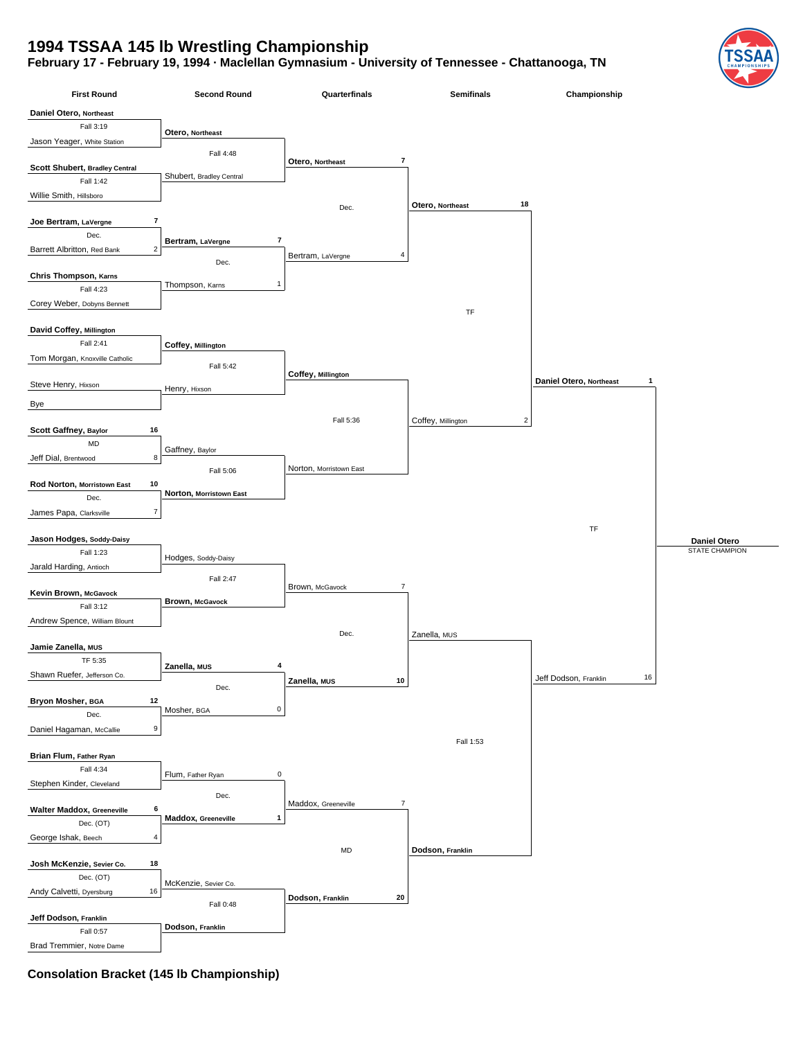## **1994 TSSAA 145 lb Wrestling Championship**

**February 17 - February 19, 1994 · Maclellan Gymnasium - University of Tennessee - Chattanooga, TN**



**Consolation Bracket (145 lb Championship)**